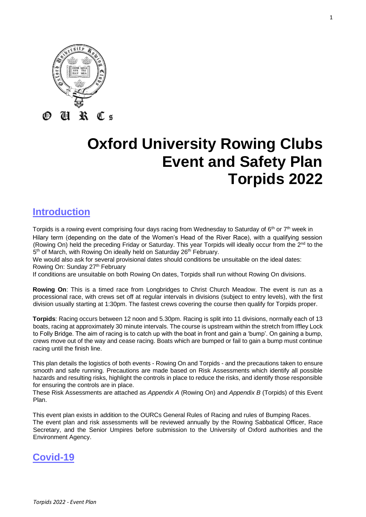

# **Oxford University Rowing Clubs Event and Safety Plan Torpids 2022**

# **Introduction**

Torpids is a rowing event comprising four days racing from Wednesday to Saturday of 6<sup>th</sup> or 7<sup>th</sup> week in Hilary term (depending on the date of the Women's Head of the River Race), with a qualifying session (Rowing On) held the preceding Friday or Saturday. This year Torpids will ideally occur from the 2<sup>nd</sup> to the 5<sup>th</sup> of March, with Rowing On ideally held on Saturday 26<sup>th</sup> February.

We would also ask for several provisional dates should conditions be unsuitable on the ideal dates: Rowing On: Sunday 27<sup>th</sup> February

If conditions are unsuitable on both Rowing On dates, Torpids shall run without Rowing On divisions.

**Rowing On**: This is a timed race from Longbridges to Christ Church Meadow. The event is run as a processional race, with crews set off at regular intervals in divisions (subject to entry levels), with the first division usually starting at 1:30pm. The fastest crews covering the course then qualify for Torpids proper.

**Torpids**: Racing occurs between 12 noon and 5.30pm. Racing is split into 11 divisions, normally each of 13 boats, racing at approximately 30 minute intervals. The course is upstream within the stretch from Iffley Lock to Folly Bridge. The aim of racing is to catch up with the boat in front and gain a 'bump'. On gaining a bump, crews move out of the way and cease racing. Boats which are bumped or fail to gain a bump must continue racing until the finish line.

This plan details the logistics of both events - Rowing On and Torpids - and the precautions taken to ensure smooth and safe running. Precautions are made based on Risk Assessments which identify all possible hazards and resulting risks, highlight the controls in place to reduce the risks, and identify those responsible for ensuring the controls are in place.

These Risk Assessments are attached as *Appendix A* (Rowing On) and *Appendix B* (Torpids) of this Event Plan.

This event plan exists in addition to the OURCs General Rules of Racing and rules of Bumping Races. The event plan and risk assessments will be reviewed annually by the Rowing Sabbatical Officer, Race Secretary, and the Senior Umpires before submission to the University of Oxford authorities and the Environment Agency.

# **Covid-19**

*Torpids 2022 - Event Plan*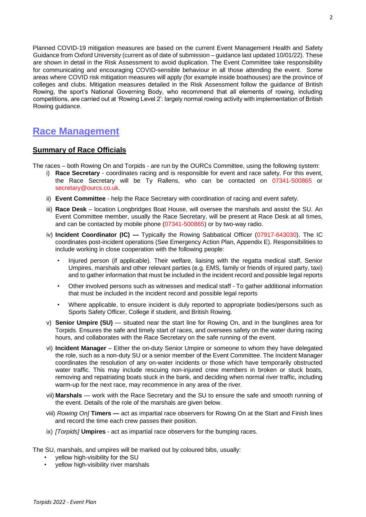Planned COVID-19 mitigation measures are based on the current Event Management Health and Safety Guidance from Oxford University (current as of date of submission – guidance last updated 10/01/22). These are shown in detail in the Risk Assessment to avoid duplication. The Event Committee take responsibility for communicating and encouraging COVID-sensible behaviour in all those attending the event. Some areas where COVID risk mitigation measures will apply (for example inside boathouses) are the province of colleges and clubs. Mitigation measures detailed in the Risk Assessment follow the guidance of British Rowing, the sport's National Governing Body, who recommend that all elements of rowing, including competitions, are carried out at 'Rowing Level 2': largely normal rowing activity with implementation of British Rowing guidance.

# **Race Management**

# **Summary of Race Officials**

The races – both Rowing On and Torpids - are run by the OURCs Committee, using the following system:

- i) **Race Secretary**  coordinates racing and is responsible for event and race safety. For this event, the Race Secretary will be Ty Rallens, who can be contacted on 07341-500865 or secretary@ourcs.co.uk.
- ii) **Event Committee**  help the Race Secretary with coordination of racing and event safety.
- iii) **Race Desk**  location Longbridges Boat House, will oversee the marshals and assist the SU. An Event Committee member, usually the Race Secretary, will be present at Race Desk at all times, and can be contacted by mobile phone (07341-500865) or by two-way radio.
- iv) **Incident Coordinator (IC) —** Typically the Rowing Sabbatical Officer (07917-643030). The IC coordinates post-incident operations (See Emergency Action Plan, Appendix E). Responsibilities to include working in close cooperation with the following people:
	- Injured person (if applicable). Their welfare, liaising with the regatta medical staff, Senior Umpires, marshals and other relevant parties (e.g. EMS, family or friends of injured party, taxi) and to gather information that must be included in the incident record and possible legal reports
	- Other involved persons such as witnesses and medical staff To gather additional information that must be included in the incident record and possible legal reports
	- Where applicable, to ensure incident is duly reported to appropriate bodies/persons such as Sports Safety Officer, College if student, and British Rowing.
- v) **Senior Umpire (SU)**  situated near the start line for Rowing On, and in the bunglines area for Torpids. Ensures the safe and timely start of races, and oversees safety on the water during racing hours, and collaborates with the Race Secretary on the safe running of the event.
- vi) **Incident Manager** Either the on-duty Senior Umpire or someone to whom they have delegated the role, such as a non-duty SU or a senior member of the Event Committee. The Incident Manager coordinates the resolution of any on-water incidents or those which have temporarily obstructed water traffic. This may include rescuing non-injured crew members in broken or stuck boats, removing and repatriating boats stuck in the bank, and deciding when normal river traffic, including warm-up for the next race, may recommence in any area of the river.
- vii) **Marshals**  work with the Race Secretary and the SU to ensure the safe and smooth running of the event. Details of the role of the marshals are given below.
- viii) *Rowing On]* **Timers —** act as impartial race observers for Rowing On at the Start and Finish lines and record the time each crew passes their position.
- ix) *[Torpids]* **Umpires** act as impartial race observers for the bumping races.

The SU, marshals, and umpires will be marked out by coloured bibs, usually:

- yellow high-visibility for the SU
- yellow high-visibility river marshals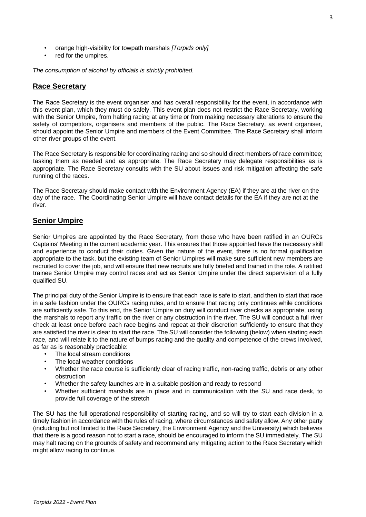- orange high-visibility for towpath marshals *[Torpids only]*
- red for the umpires.

*The consumption of alcohol by officials is strictly prohibited.* 

#### **Race Secretary**

The Race Secretary is the event organiser and has overall responsibility for the event, in accordance with this event plan, which they must do safely. This event plan does not restrict the Race Secretary, working with the Senior Umpire, from halting racing at any time or from making necessary alterations to ensure the safety of competitors, organisers and members of the public. The Race Secretary, as event organiser, should appoint the Senior Umpire and members of the Event Committee. The Race Secretary shall inform other river groups of the event.

The Race Secretary is responsible for coordinating racing and so should direct members of race committee; tasking them as needed and as appropriate. The Race Secretary may delegate responsibilities as is appropriate. The Race Secretary consults with the SU about issues and risk mitigation affecting the safe running of the races.

The Race Secretary should make contact with the Environment Agency (EA) if they are at the river on the day of the race. The Coordinating Senior Umpire will have contact details for the EA if they are not at the river.

# **Senior Umpire**

Senior Umpires are appointed by the Race Secretary, from those who have been ratified in an OURCs Captains' Meeting in the current academic year. This ensures that those appointed have the necessary skill and experience to conduct their duties. Given the nature of the event, there is no formal qualification appropriate to the task, but the existing team of Senior Umpires will make sure sufficient new members are recruited to cover the job, and will ensure that new recruits are fully briefed and trained in the role. A ratified trainee Senior Umpire may control races and act as Senior Umpire under the direct supervision of a fully qualified SU.

The principal duty of the Senior Umpire is to ensure that each race is safe to start, and then to start that race in a safe fashion under the OURCs racing rules, and to ensure that racing only continues while conditions are sufficiently safe. To this end, the Senior Umpire on duty will conduct river checks as appropriate, using the marshals to report any traffic on the river or any obstruction in the river. The SU will conduct a full river check at least once before each race begins and repeat at their discretion sufficiently to ensure that they are satisfied the river is clear to start the race. The SU will consider the following (below) when starting each race, and will relate it to the nature of bumps racing and the quality and competence of the crews involved, as far as is reasonably practicable:

- The local stream conditions
- The local weather conditions
- Whether the race course is sufficiently clear of racing traffic, non-racing traffic, debris or any other obstruction
- Whether the safety launches are in a suitable position and ready to respond
- Whether sufficient marshals are in place and in communication with the SU and race desk, to provide full coverage of the stretch

The SU has the full operational responsibility of starting racing, and so will try to start each division in a timely fashion in accordance with the rules of racing, where circumstances and safety allow. Any other party (including but not limited to the Race Secretary, the Environment Agency and the University) which believes that there is a good reason not to start a race, should be encouraged to inform the SU immediately. The SU may halt racing on the grounds of safety and recommend any mitigating action to the Race Secretary which might allow racing to continue.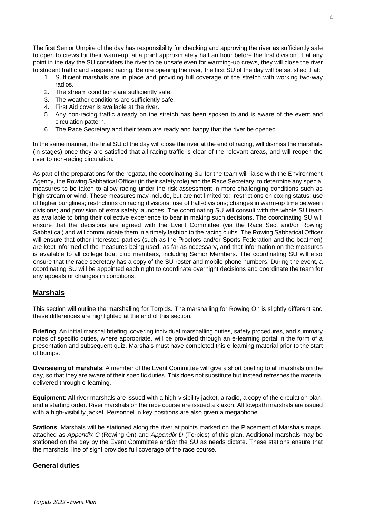The first Senior Umpire of the day has responsibility for checking and approving the river as sufficiently safe to open to crews for their warm-up, at a point approximately half an hour before the first division. If at any point in the day the SU considers the river to be unsafe even for warming-up crews, they will close the river to student traffic and suspend racing. Before opening the river, the first SU of the day will be satisfied that:

- 1. Sufficient marshals are in place and providing full coverage of the stretch with working two-way radios.
- 2. The stream conditions are sufficiently safe.
- 3. The weather conditions are sufficiently safe.
- 4. First Aid cover is available at the river.
- 5. Any non-racing traffic already on the stretch has been spoken to and is aware of the event and circulation pattern.
- 6. The Race Secretary and their team are ready and happy that the river be opened.

In the same manner, the final SU of the day will close the river at the end of racing, will dismiss the marshals (in stages) once they are satisfied that all racing traffic is clear of the relevant areas, and will reopen the river to non-racing circulation.

As part of the preparations for the regatta, the coordinating SU for the team will liaise with the Environment Agency, the Rowing Sabbatical Officer (in their safety role) and the Race Secretary, to determine any special measures to be taken to allow racing under the risk assessment in more challenging conditions such as high stream or wind. These measures may include, but are not limited to:- restrictions on coxing status; use of higher bunglines; restrictions on racing divisions; use of half-divisions; changes in warm-up time between divisions; and provision of extra safety launches. The coordinating SU will consult with the whole SU team as available to bring their collective experience to bear in making such decisions. The coordinating SU will ensure that the decisions are agreed with the Event Committee (via the Race Sec. and/or Rowing Sabbatical) and will communicate them in a timely fashion to the racing clubs. The Rowing Sabbatical Officer will ensure that other interested parties (such as the Proctors and/or Sports Federation and the boatmen) are kept informed of the measures being used, as far as necessary, and that information on the measures is available to all college boat club members, including Senior Members. The coordinating SU will also ensure that the race secretary has a copy of the SU roster and mobile phone numbers. During the event, a coordinating SU will be appointed each night to coordinate overnight decisions and coordinate the team for any appeals or changes in conditions.

# **Marshals**

This section will outline the marshalling for Torpids. The marshalling for Rowing On is slightly different and these differences are highlighted at the end of this section.

**Briefing**: An initial marshal briefing, covering individual marshalling duties, safety procedures, and summary notes of specific duties, where appropriate, will be provided through an e-learning portal in the form of a presentation and subsequent quiz. Marshals must have completed this e-learning material prior to the start of bumps.

**Overseeing of marshals**: A member of the Event Committee will give a short briefing to all marshals on the day, so that they are aware of their specific duties. This does not substitute but instead refreshes the material delivered through e-learning.

**Equipment**: All river marshals are issued with a high-visibility jacket, a radio, a copy of the circulation plan, and a starting order. River marshals on the race course are issued a klaxon. All towpath marshals are issued with a high-visibility jacket. Personnel in key positions are also given a megaphone.

**Stations**: Marshals will be stationed along the river at points marked on the Placement of Marshals maps, attached as *Appendix C* (Rowing On) and *Appendix D* (Torpids) of this plan. Additional marshals may be stationed on the day by the Event Committee and/or the SU as needs dictate. These stations ensure that the marshals' line of sight provides full coverage of the race course.

# **General duties**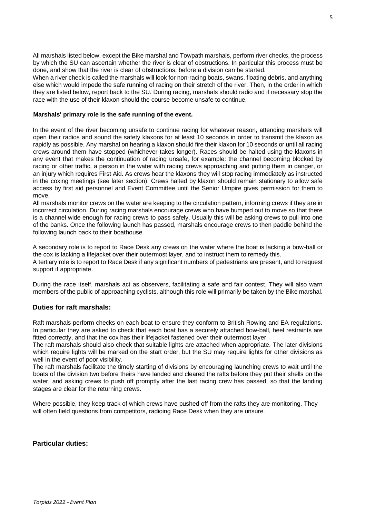All marshals listed below, except the Bike marshal and Towpath marshals, perform river checks, the process by which the SU can ascertain whether the river is clear of obstructions. In particular this process must be done, and show that the river is clear of obstructions, before a division can be started.

When a river check is called the marshals will look for non-racing boats, swans, floating debris, and anything else which would impede the safe running of racing on their stretch of the river. Then, in the order in which they are listed below, report back to the SU. During racing, marshals should radio and if necessary stop the race with the use of their klaxon should the course become unsafe to continue.

#### **Marshals' primary role is the safe running of the event.**

In the event of the river becoming unsafe to continue racing for whatever reason, attending marshals will open their radios and sound the safety klaxons for at least 10 seconds in order to transmit the klaxon as rapidly as possible. Any marshal on hearing a klaxon should fire their klaxon for 10 seconds or until all racing crews around them have stopped (whichever takes longer). Races should be halted using the klaxons in any event that makes the continuation of racing unsafe, for example: the channel becoming blocked by racing or other traffic, a person in the water with racing crews approaching and putting them in danger, or an injury which requires First Aid. As crews hear the klaxons they will stop racing immediately as instructed in the coxing meetings (see later section). Crews halted by klaxon should remain stationary to allow safe access by first aid personnel and Event Committee until the Senior Umpire gives permission for them to move.

All marshals monitor crews on the water are keeping to the circulation pattern, informing crews if they are in incorrect circulation. During racing marshals encourage crews who have bumped out to move so that there is a channel wide enough for racing crews to pass safely. Usually this will be asking crews to pull into one of the banks. Once the following launch has passed, marshals encourage crews to then paddle behind the following launch back to their boathouse.

A secondary role is to report to Race Desk any crews on the water where the boat is lacking a bow-ball or the cox is lacking a lifejacket over their outermost layer, and to instruct them to remedy this.

A tertiary role is to report to Race Desk if any significant numbers of pedestrians are present, and to request support if appropriate.

During the race itself, marshals act as observers, facilitating a safe and fair contest. They will also warn members of the public of approaching cyclists, although this role will primarily be taken by the Bike marshal.

#### **Duties for raft marshals:**

Raft marshals perform checks on each boat to ensure they conform to British Rowing and EA regulations. In particular they are asked to check that each boat has a securely attached bow-ball, heel restraints are fitted correctly, and that the cox has their lifejacket fastened over their outermost layer.

The raft marshals should also check that suitable lights are attached when appropriate. The later divisions which require lights will be marked on the start order, but the SU may require lights for other divisions as well in the event of poor visibility.

The raft marshals facilitate the timely starting of divisions by encouraging launching crews to wait until the boats of the division two before theirs have landed and cleared the rafts before they put their shells on the water, and asking crews to push off promptly after the last racing crew has passed, so that the landing stages are clear for the returning crews.

Where possible, they keep track of which crews have pushed off from the rafts they are monitoring. They will often field questions from competitors, radioing Race Desk when they are unsure.

#### **Particular duties:**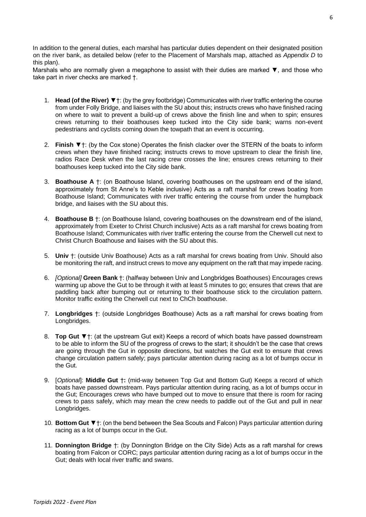In addition to the general duties, each marshal has particular duties dependent on their designated position on the river bank, as detailed below (refer to the Placement of Marshals map, attached as *Appendix D* to this plan).

Marshals who are normally given a megaphone to assist with their duties are marked ▼, and those who take part in river checks are marked †.

- 1. **Head (of the River)** ▼†: (by the grey footbridge) Communicates with river traffic entering the course from under Folly Bridge, and liaises with the SU about this; instructs crews who have finished racing on where to wait to prevent a build-up of crews above the finish line and when to spin; ensures crews returning to their boathouses keep tucked into the City side bank; warns non-event pedestrians and cyclists coming down the towpath that an event is occurring.
- 2. **Finish** ▼†: (by the Cox stone) Operates the finish clacker over the STERN of the boats to inform crews when they have finished racing; instructs crews to move upstream to clear the finish line, radios Race Desk when the last racing crew crosses the line; ensures crews returning to their boathouses keep tucked into the City side bank.
- 3. **Boathouse A** †: (on Boathouse Island, covering boathouses on the upstream end of the island, approximately from St Anne's to Keble inclusive) Acts as a raft marshal for crews boating from Boathouse Island; Communicates with river traffic entering the course from under the humpback bridge, and liaises with the SU about this.
- 4. **Boathouse B** †: (on Boathouse Island, covering boathouses on the downstream end of the island, approximately from Exeter to Christ Church inclusive) Acts as a raft marshal for crews boating from Boathouse Island; Communicates with river traffic entering the course from the Cherwell cut next to Christ Church Boathouse and liaises with the SU about this.
- 5. **Univ** †: (outside Univ Boathouse) Acts as a raft marshal for crews boating from Univ. Should also be monitoring the raft, and instruct crews to move any equipment on the raft that may impede racing.
- 6. *[Optional]* **Green Bank** †: (halfway between Univ and Longbridges Boathouses) Encourages crews warming up above the Gut to be through it with at least 5 minutes to go; ensures that crews that are paddling back after bumping out or returning to their boathouse stick to the circulation pattern. Monitor traffic exiting the Cherwell cut next to ChCh boathouse.
- 7. **Longbridges** †: (outside Longbridges Boathouse) Acts as a raft marshal for crews boating from Longbridges.
- 8. **Top Gut** ▼†: (at the upstream Gut exit) Keeps a record of which boats have passed downstream to be able to inform the SU of the progress of crews to the start; it shouldn't be the case that crews are going through the Gut in opposite directions, but watches the Gut exit to ensure that crews change circulation pattern safely; pays particular attention during racing as a lot of bumps occur in the Gut.
- 9. [*Optional*]: **Middle Gut** †**:** (mid-way between Top Gut and Bottom Gut) Keeps a record of which boats have passed downstream. Pays particular attention during racing, as a lot of bumps occur in the Gut; Encourages crews who have bumped out to move to ensure that there is room for racing crews to pass safely, which may mean the crew needs to paddle out of the Gut and pull in near Longbridges.
- 10. **Bottom Gut** ▼†: (on the bend between the Sea Scouts and Falcon) Pays particular attention during racing as a lot of bumps occur in the Gut.
- 11. **Donnington Bridge** †: (by Donnington Bridge on the City Side) Acts as a raft marshal for crews boating from Falcon or CORC; pays particular attention during racing as a lot of bumps occur in the Gut; deals with local river traffic and swans.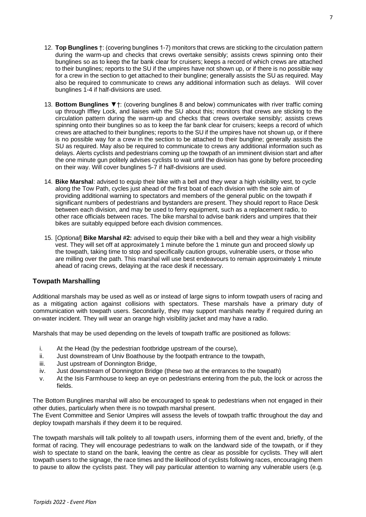- 12. **Top Bunglines** †: (covering bunglines 1-7) monitors that crews are sticking to the circulation pattern during the warm-up and checks that crews overtake sensibly; assists crews spinning onto their bunglines so as to keep the far bank clear for cruisers; keeps a record of which crews are attached to their bunglines; reports to the SU if the umpires have not shown up, or if there is no possible way for a crew in the section to get attached to their bungline; generally assists the SU as required. May also be required to communicate to crews any additional information such as delays. Will cover bunglines 1-4 if half-divisions are used.
- 13. **Bottom Bunglines** ▼†: (covering bunglines 8 and below) communicates with river traffic coming up through Iffley Lock, and liaises with the SU about this; monitors that crews are sticking to the circulation pattern during the warm-up and checks that crews overtake sensibly; assists crews spinning onto their bunglines so as to keep the far bank clear for cruisers; keeps a record of which crews are attached to their bunglines; reports to the SU if the umpires have not shown up, or if there is no possible way for a crew in the section to be attached to their bungline; generally assists the SU as required. May also be required to communicate to crews any additional information such as delays. Alerts cyclists and pedestrians coming up the towpath of an imminent division start and after the one minute gun politely advises cyclists to wait until the division has gone by before proceeding on their way. Will cover bunglines 5-7 if half-divisions are used.
- 14. **Bike Marshal**: advised to equip their bike with a bell and they wear a high visibility vest, to cycle along the Tow Path, cycles just ahead of the first boat of each division with the sole aim of providing additional warning to spectators and members of the general public on the towpath if significant numbers of pedestrians and bystanders are present. They should report to Race Desk between each division, and may be used to ferry equipment, such as a replacement radio, to other race officials between races. The bike marshal to advise bank riders and umpires that their bikes are suitably equipped before each division commences.
- 15. [*Optional*] **Bike Marshal #2:** advised to equip their bike with a bell and they wear a high visibility vest. They will set off at approximately 1 minute before the 1 minute gun and proceed slowly up the towpath, taking time to stop and specifically caution groups, vulnerable users, or those who are milling over the path. This marshal will use best endeavours to remain approximately 1 minute ahead of racing crews, delaying at the race desk if necessary.

# **Towpath Marshalling**

Additional marshals may be used as well as or instead of large signs to inform towpath users of racing and as a mitigating action against collisions with spectators. These marshals have a primary duty of communication with towpath users. Secondarily, they may support marshals nearby if required during an on-water incident. They will wear an orange high visibility jacket and may have a radio.

Marshals that may be used depending on the levels of towpath traffic are positioned as follows:

- i. At the Head (by the pedestrian footbridge upstream of the course),
- ii. Just downstream of Univ Boathouse by the footpath entrance to the towpath,
- iii. Just upstream of Donnington Bridge,
- iv. Just downstream of Donnington Bridge (these two at the entrances to the towpath)
- v. At the Isis Farmhouse to keep an eye on pedestrians entering from the pub, the lock or across the fields.

The Bottom Bunglines marshal will also be encouraged to speak to pedestrians when not engaged in their other duties, particularly when there is no towpath marshal present.

The Event Committee and Senior Umpires will assess the levels of towpath traffic throughout the day and deploy towpath marshals if they deem it to be required.

The towpath marshals will talk politely to all towpath users, informing them of the event and, briefly, of the format of racing. They will encourage pedestrians to walk on the landward side of the towpath, or if they wish to spectate to stand on the bank, leaving the centre as clear as possible for cyclists. They will alert towpath users to the signage, the race times and the likelihood of cyclists following races, encouraging them to pause to allow the cyclists past. They will pay particular attention to warning any vulnerable users (e.g.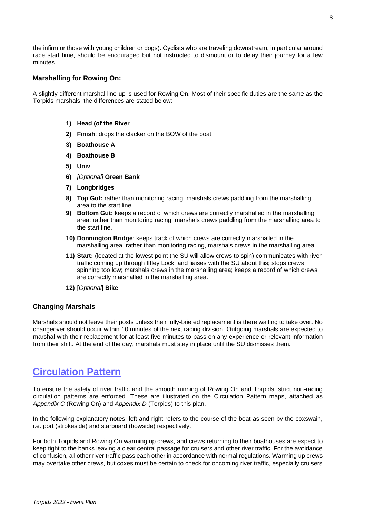the infirm or those with young children or dogs). Cyclists who are traveling downstream, in particular around race start time, should be encouraged but not instructed to dismount or to delay their journey for a few minutes.

#### **Marshalling for Rowing On:**

A slightly different marshal line-up is used for Rowing On. Most of their specific duties are the same as the Torpids marshals, the differences are stated below:

#### **1) Head (of the River**

- **2) Finish**: drops the clacker on the BOW of the boat
- **3) Boathouse A**
- **4) Boathouse B**
- **5) Univ**
- **6)** *[Optional]* **Green Bank**
- **7) Longbridges**
- **8) Top Gut:** rather than monitoring racing, marshals crews paddling from the marshalling area to the start line.
- **9) Bottom Gut:** keeps a record of which crews are correctly marshalled in the marshalling area; rather than monitoring racing, marshals crews paddling from the marshalling area to the start line.
- **10) Donnington Bridge**: keeps track of which crews are correctly marshalled in the marshalling area; rather than monitoring racing, marshals crews in the marshalling area.
- **11) Start:** (located at the lowest point the SU will allow crews to spin) communicates with river traffic coming up through Iffley Lock, and liaises with the SU about this; stops crews spinning too low; marshals crews in the marshalling area; keeps a record of which crews are correctly marshalled in the marshalling area.
- **12)** [*Optional*] **Bike**

#### **Changing Marshals**

Marshals should not leave their posts unless their fully-briefed replacement is there waiting to take over. No changeover should occur within 10 minutes of the next racing division. Outgoing marshals are expected to marshal with their replacement for at least five minutes to pass on any experience or relevant information from their shift. At the end of the day, marshals must stay in place until the SU dismisses them.

# **Circulation Pattern**

To ensure the safety of river traffic and the smooth running of Rowing On and Torpids, strict non-racing circulation patterns are enforced. These are illustrated on the Circulation Pattern maps, attached as *Appendix C* (Rowing On) and *Appendix D* (Torpids) to this plan.

In the following explanatory notes, left and right refers to the course of the boat as seen by the coxswain, i.e. port (strokeside) and starboard (bowside) respectively.

For both Torpids and Rowing On warming up crews, and crews returning to their boathouses are expect to keep tight to the banks leaving a clear central passage for cruisers and other river traffic. For the avoidance of confusion, all other river traffic pass each other in accordance with normal regulations. Warming up crews may overtake other crews, but coxes must be certain to check for oncoming river traffic, especially cruisers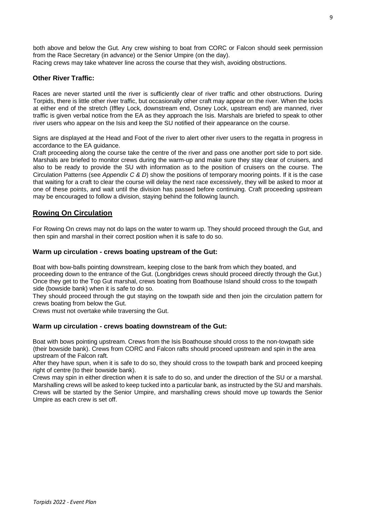both above and below the Gut. Any crew wishing to boat from CORC or Falcon should seek permission from the Race Secretary (in advance) or the Senior Umpire (on the day). Racing crews may take whatever line across the course that they wish, avoiding obstructions.

#### **Other River Traffic:**

Races are never started until the river is sufficiently clear of river traffic and other obstructions. During Torpids, there is little other river traffic, but occasionally other craft may appear on the river. When the locks at either end of the stretch (Iffley Lock, downstream end, Osney Lock, upstream end) are manned, river traffic is given verbal notice from the EA as they approach the Isis. Marshals are briefed to speak to other river users who appear on the Isis and keep the SU notified of their appearance on the course.

Signs are displayed at the Head and Foot of the river to alert other river users to the regatta in progress in accordance to the EA guidance.

Craft proceeding along the course take the centre of the river and pass one another port side to port side. Marshals are briefed to monitor crews during the warm-up and make sure they stay clear of cruisers, and also to be ready to provide the SU with information as to the position of cruisers on the course. The Circulation Patterns (see *Appendix C & D*) show the positions of temporary mooring points. If it is the case that waiting for a craft to clear the course will delay the next race excessively, they will be asked to moor at one of these points, and wait until the division has passed before continuing. Craft proceeding upstream may be encouraged to follow a division, staying behind the following launch.

# **Rowing On Circulation**

For Rowing On crews may not do laps on the water to warm up. They should proceed through the Gut, and then spin and marshal in their correct position when it is safe to do so.

#### **Warm up circulation - crews boating upstream of the Gut:**

Boat with bow-balls pointing downstream, keeping close to the bank from which they boated, and proceeding down to the entrance of the Gut. (Longbridges crews should proceed directly through the Gut.) Once they get to the Top Gut marshal, crews boating from Boathouse Island should cross to the towpath side (bowside bank) when it is safe to do so.

They should proceed through the gut staying on the towpath side and then join the circulation pattern for crews boating from below the Gut.

Crews must not overtake while traversing the Gut.

#### **Warm up circulation - crews boating downstream of the Gut:**

Boat with bows pointing upstream. Crews from the Isis Boathouse should cross to the non-towpath side (their bowside bank). Crews from CORC and Falcon rafts should proceed upstream and spin in the area upstream of the Falcon raft.

After they have spun, when it is safe to do so, they should cross to the towpath bank and proceed keeping right of centre (to their bowside bank).

Crews may spin in either direction when it is safe to do so, and under the direction of the SU or a marshal. Marshalling crews will be asked to keep tucked into a particular bank, as instructed by the SU and marshals. Crews will be started by the Senior Umpire, and marshalling crews should move up towards the Senior Umpire as each crew is set off.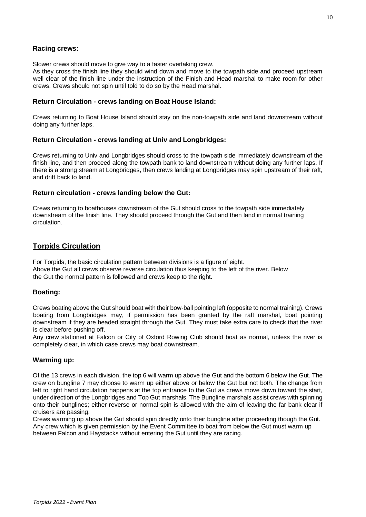# **Racing crews:**

Slower crews should move to give way to a faster overtaking crew.

As they cross the finish line they should wind down and move to the towpath side and proceed upstream well clear of the finish line under the instruction of the Finish and Head marshal to make room for other crews. Crews should not spin until told to do so by the Head marshal.

#### **Return Circulation - crews landing on Boat House Island:**

Crews returning to Boat House Island should stay on the non-towpath side and land downstream without doing any further laps.

#### **Return Circulation - crews landing at Univ and Longbridges:**

Crews returning to Univ and Longbridges should cross to the towpath side immediately downstream of the finish line, and then proceed along the towpath bank to land downstream without doing any further laps. If there is a strong stream at Longbridges, then crews landing at Longbridges may spin upstream of their raft, and drift back to land.

#### **Return circulation - crews landing below the Gut:**

Crews returning to boathouses downstream of the Gut should cross to the towpath side immediately downstream of the finish line. They should proceed through the Gut and then land in normal training circulation.

# **Torpids Circulation**

For Torpids, the basic circulation pattern between divisions is a figure of eight. Above the Gut all crews observe reverse circulation thus keeping to the left of the river. Below the Gut the normal pattern is followed and crews keep to the right.

#### **Boating:**

Crews boating above the Gut should boat with their bow-ball pointing left (opposite to normal training). Crews boating from Longbridges may, if permission has been granted by the raft marshal, boat pointing downstream if they are headed straight through the Gut. They must take extra care to check that the river is clear before pushing off.

Any crew stationed at Falcon or City of Oxford Rowing Club should boat as normal, unless the river is completely clear, in which case crews may boat downstream.

#### **Warming up:**

Of the 13 crews in each division, the top 6 will warm up above the Gut and the bottom 6 below the Gut. The crew on bungline 7 may choose to warm up either above or below the Gut but not both. The change from left to right hand circulation happens at the top entrance to the Gut as crews move down toward the start, under direction of the Longbridges and Top Gut marshals. The Bungline marshals assist crews with spinning onto their bunglines; either reverse or normal spin is allowed with the aim of leaving the far bank clear if cruisers are passing.

Crews warming up above the Gut should spin directly onto their bungline after proceeding though the Gut. Any crew which is given permission by the Event Committee to boat from below the Gut must warm up between Falcon and Haystacks without entering the Gut until they are racing.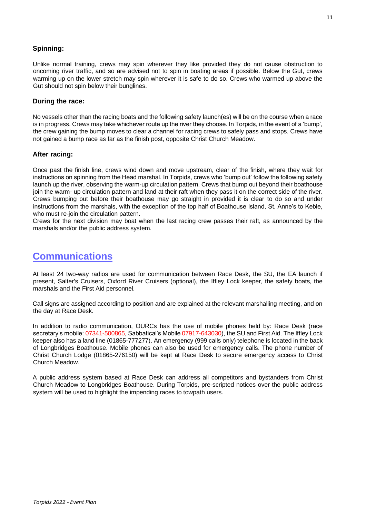# **Spinning:**

Unlike normal training, crews may spin wherever they like provided they do not cause obstruction to oncoming river traffic, and so are advised not to spin in boating areas if possible. Below the Gut, crews warming up on the lower stretch may spin wherever it is safe to do so. Crews who warmed up above the Gut should not spin below their bunglines.

### **During the race:**

No vessels other than the racing boats and the following safety launch(es) will be on the course when a race is in progress. Crews may take whichever route up the river they choose. In Torpids, in the event of a 'bump', the crew gaining the bump moves to clear a channel for racing crews to safely pass and stops. Crews have not gained a bump race as far as the finish post, opposite Christ Church Meadow.

### **After racing:**

Once past the finish line, crews wind down and move upstream, clear of the finish, where they wait for instructions on spinning from the Head marshal. In Torpids, crews who 'bump out' follow the following safety launch up the river, observing the warm-up circulation pattern. Crews that bump out beyond their boathouse join the warm- up circulation pattern and land at their raft when they pass it on the correct side of the river. Crews bumping out before their boathouse may go straight in provided it is clear to do so and under instructions from the marshals, with the exception of the top half of Boathouse Island, St. Anne's to Keble, who must re-join the circulation pattern.

Crews for the next division may boat when the last racing crew passes their raft, as announced by the marshals and/or the public address system.

# **Communications**

At least 24 two-way radios are used for communication between Race Desk, the SU, the EA launch if present, Salter's Cruisers, Oxford River Cruisers (optional), the Iffley Lock keeper, the safety boats, the marshals and the First Aid personnel.

Call signs are assigned according to position and are explained at the relevant marshalling meeting, and on the day at Race Desk.

In addition to radio communication, OURCs has the use of mobile phones held by: Race Desk (race secretary's mobile: 07341-500865, Sabbatical's Mobile 07917-643030), the SU and First Aid. The Iffley Lock keeper also has a land line (01865-777277). An emergency (999 calls only) telephone is located in the back of Longbridges Boathouse. Mobile phones can also be used for emergency calls. The phone number of Christ Church Lodge (01865-276150) will be kept at Race Desk to secure emergency access to Christ Church Meadow.

A public address system based at Race Desk can address all competitors and bystanders from Christ Church Meadow to Longbridges Boathouse. During Torpids, pre-scripted notices over the public address system will be used to highlight the impending races to towpath users.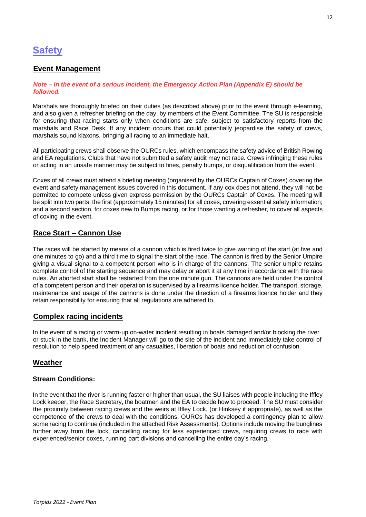# **Safety**

# **Event Management**

#### *Note – In the event of a serious incident, the Emergency Action Plan (Appendix E) should be followed.*

Marshals are thoroughly briefed on their duties (as described above) prior to the event through e-learning, and also given a refresher briefing on the day, by members of the Event Committee. The SU is responsible for ensuring that racing starts only when conditions are safe, subject to satisfactory reports from the marshals and Race Desk. If any incident occurs that could potentially jeopardise the safety of crews, marshals sound klaxons, bringing all racing to an immediate halt.

All participating crews shall observe the OURCs rules, which encompass the safety advice of British Rowing and EA regulations. Clubs that have not submitted a safety audit may not race. Crews infringing these rules or acting in an unsafe manner may be subject to fines, penalty bumps, or disqualification from the event.

Coxes of all crews must attend a briefing meeting (organised by the OURCs Captain of Coxes) covering the event and safety management issues covered in this document. If any cox does not attend, they will not be permitted to compete unless given express permission by the OURCs Captain of Coxes. The meeting will be split into two parts: the first (approximately 15 minutes) for all coxes, covering essential safety information; and a second section, for coxes new to Bumps racing, or for those wanting a refresher, to cover all aspects of coxing in the event.

# **Race Start – Cannon Use**

The races will be started by means of a cannon which is fired twice to give warning of the start (at five and one minutes to go) and a third time to signal the start of the race. The cannon is fired by the Senior Umpire giving a visual signal to a competent person who is in charge of the cannons. The senior umpire retains complete control of the starting sequence and may delay or abort it at any time in accordance with the race rules. An aborted start shall be restarted from the one minute gun. The cannons are held under the control of a competent person and their operation is supervised by a firearms licence holder. The transport, storage, maintenance and usage of the cannons is done under the direction of a firearms licence holder and they retain responsibility for ensuring that all regulations are adhered to.

# **Complex racing incidents**

In the event of a racing or warm-up on-water incident resulting in boats damaged and/or blocking the river or stuck in the bank, the Incident Manager will go to the site of the incident and immediately take control of resolution to help speed treatment of any casualties, liberation of boats and reduction of confusion.

# **Weather**

#### **Stream Conditions:**

In the event that the river is running faster or higher than usual, the SU liaises with people including the Iffley Lock keeper, the Race Secretary, the boatmen and the EA to decide how to proceed. The SU must consider the proximity between racing crews and the weirs at Iffley Lock, (or Hinksey if appropriate), as well as the competence of the crews to deal with the conditions. OURCs has developed a contingency plan to allow some racing to continue (included in the attached Risk Assessments). Options include moving the bunglines further away from the lock, cancelling racing for less experienced crews, requiring crews to race with experienced/senior coxes, running part divisions and cancelling the entire day's racing.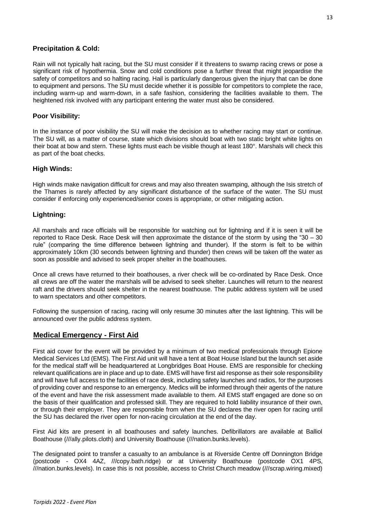### **Precipitation & Cold:**

Rain will not typically halt racing, but the SU must consider if it threatens to swamp racing crews or pose a significant risk of hypothermia. Snow and cold conditions pose a further threat that might jeopardise the safety of competitors and so halting racing. Hail is particularly dangerous given the injury that can be done to equipment and persons. The SU must decide whether it is possible for competitors to complete the race, including warm-up and warm-down, in a safe fashion, considering the facilities available to them. The heightened risk involved with any participant entering the water must also be considered.

### **Poor Visibility:**

In the instance of poor visibility the SU will make the decision as to whether racing may start or continue. The SU will, as a matter of course, state which divisions should boat with two static bright white lights on their boat at bow and stern. These lights must each be visible though at least 180°. Marshals will check this as part of the boat checks.

### **High Winds:**

High winds make navigation difficult for crews and may also threaten swamping, although the Isis stretch of the Thames is rarely affected by any significant disturbance of the surface of the water. The SU must consider if enforcing only experienced/senior coxes is appropriate, or other mitigating action.

### **Lightning:**

All marshals and race officials will be responsible for watching out for lightning and if it is seen it will be reported to Race Desk. Race Desk will then approximate the distance of the storm by using the "30 – 30 rule" (comparing the time difference between lightning and thunder). If the storm is felt to be within approximately 10km (30 seconds between lightning and thunder) then crews will be taken off the water as soon as possible and advised to seek proper shelter in the boathouses.

Once all crews have returned to their boathouses, a river check will be co-ordinated by Race Desk. Once all crews are off the water the marshals will be advised to seek shelter. Launches will return to the nearest raft and the drivers should seek shelter in the nearest boathouse. The public address system will be used to warn spectators and other competitors.

Following the suspension of racing, racing will only resume 30 minutes after the last lightning. This will be announced over the public address system.

# **Medical Emergency - First Aid**

First aid cover for the event will be provided by a minimum of two medical professionals through Epione Medical Services Ltd (EMS). The First Aid unit will have a tent at Boat House Island but the launch set aside for the medical staff will be headquartered at Longbridges Boat House. EMS are responsible for checking relevant qualifications are in place and up to date. EMS will have first aid response as their sole responsibility and will have full access to the facilities of race desk, including safety launches and radios, for the purposes of providing cover and response to an emergency. Medics will be informed through their agents of the nature of the event and have the risk assessment made available to them. All EMS staff engaged are done so on the basis of their qualification and professed skill. They are required to hold liability insurance of their own, or through their employer. They are responsible from when the SU declares the river open for racing until the SU has declared the river open for non-racing circulation at the end of the day.

First Aid kits are present in all boathouses and safety launches. Defibrillators are available at Balliol Boathouse (///ally.pilots.cloth) and University Boathouse (///nation.bunks.levels).

The designated point to transfer a casualty to an ambulance is at Riverside Centre off Donnington Bridge (postcode - OX4 4AZ, ///copy.bath.ridge) or at University Boathouse (postcode OX1 4PS, ///nation.bunks.levels). In case this is not possible, access to Christ Church meadow (///scrap.wiring.mixed)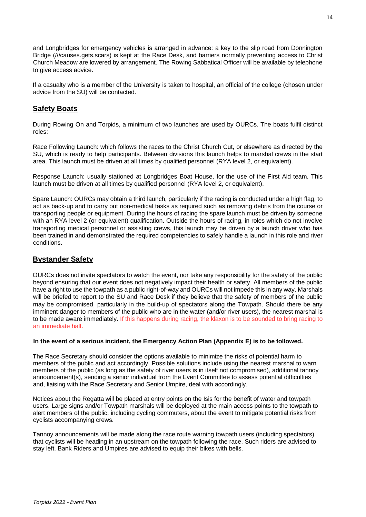and Longbridges for emergency vehicles is arranged in advance: a key to the slip road from Donnington Bridge (///causes.gets.scars) is kept at the Race Desk, and barriers normally preventing access to Christ Church Meadow are lowered by arrangement. The Rowing Sabbatical Officer will be available by telephone to give access advice.

If a casualty who is a member of the University is taken to hospital, an official of the college (chosen under advice from the SU) will be contacted.

# **Safety Boats**

During Rowing On and Torpids, a minimum of two launches are used by OURCs. The boats fulfil distinct roles:

Race Following Launch: which follows the races to the Christ Church Cut, or elsewhere as directed by the SU, which is ready to help participants. Between divisions this launch helps to marshal crews in the start area. This launch must be driven at all times by qualified personnel (RYA level 2, or equivalent).

Response Launch: usually stationed at Longbridges Boat House, for the use of the First Aid team. This launch must be driven at all times by qualified personnel (RYA level 2, or equivalent).

Spare Launch: OURCs may obtain a third launch, particularly if the racing is conducted under a high flag, to act as back-up and to carry out non-medical tasks as required such as removing debris from the course or transporting people or equipment. During the hours of racing the spare launch must be driven by someone with an RYA level 2 (or equivalent) qualification. Outside the hours of racing, in roles which do not involve transporting medical personnel or assisting crews, this launch may be driven by a launch driver who has been trained in and demonstrated the required competencies to safely handle a launch in this role and river conditions.

# **Bystander Safety**

OURCs does not invite spectators to watch the event, nor take any responsibility for the safety of the public beyond ensuring that our event does not negatively impact their health or safety. All members of the public have a right to use the towpath as a public right-of-way and OURCs will not impede this in any way. Marshals will be briefed to report to the SU and Race Desk if they believe that the safety of members of the public may be compromised, particularly in the build-up of spectators along the Towpath. Should there be any imminent danger to members of the public who are in the water (and/or river users), the nearest marshal is to be made aware immediately. If this happens during racing, the klaxon is to be sounded to bring racing to an immediate halt.

#### **In the event of a serious incident, the Emergency Action Plan (Appendix E) is to be followed.**

The Race Secretary should consider the options available to minimize the risks of potential harm to members of the public and act accordingly. Possible solutions include using the nearest marshal to warn members of the public (as long as the safety of river users is in itself not compromised), additional tannoy announcement(s), sending a senior individual from the Event Committee to assess potential difficulties and, liaising with the Race Secretary and Senior Umpire, deal with accordingly.

Notices about the Regatta will be placed at entry points on the Isis for the benefit of water and towpath users. Large signs and/or Towpath marshals will be deployed at the main access points to the towpath to alert members of the public, including cycling commuters, about the event to mitigate potential risks from cyclists accompanying crews.

Tannoy announcements will be made along the race route warning towpath users (including spectators) that cyclists will be heading in an upstream on the towpath following the race. Such riders are advised to stay left. Bank Riders and Umpires are advised to equip their bikes with bells.